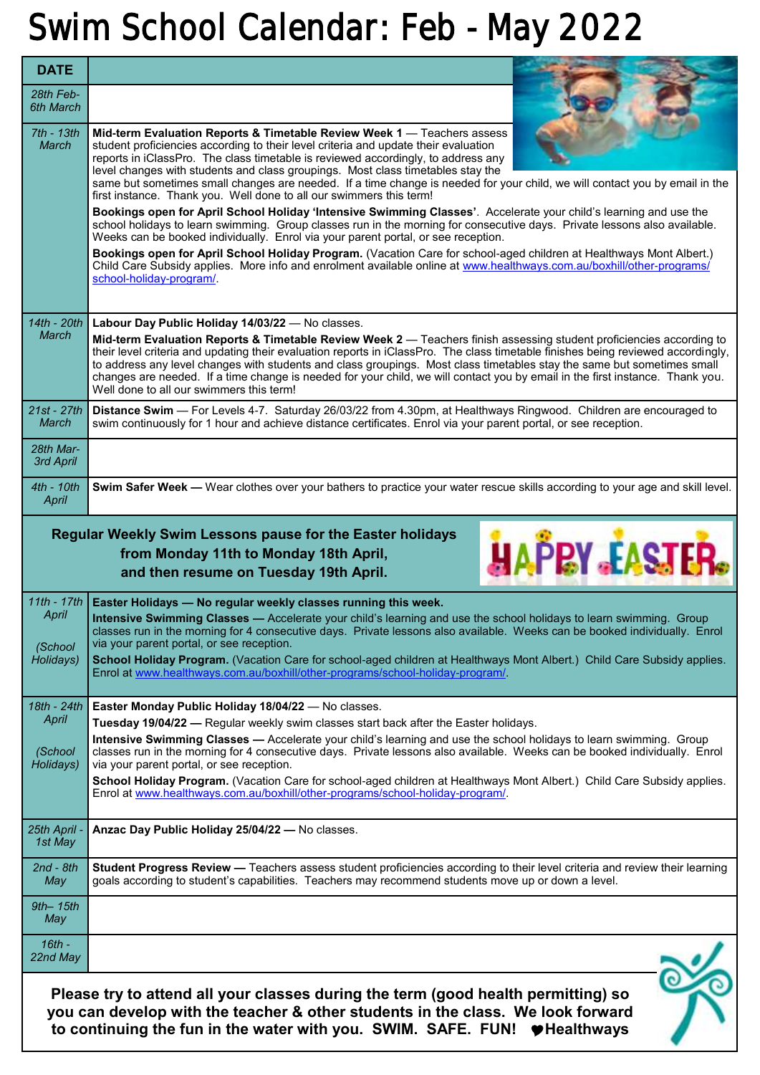## **Swim School Calendar: Feb - May 2022**

| <b>DATE</b>                                                                                                                                                                                                                                        |                                                                                                                                                                                                                                                                                                                                                                                                                                                                                                                                                                             |
|----------------------------------------------------------------------------------------------------------------------------------------------------------------------------------------------------------------------------------------------------|-----------------------------------------------------------------------------------------------------------------------------------------------------------------------------------------------------------------------------------------------------------------------------------------------------------------------------------------------------------------------------------------------------------------------------------------------------------------------------------------------------------------------------------------------------------------------------|
| 28th Feb-<br>6th March                                                                                                                                                                                                                             |                                                                                                                                                                                                                                                                                                                                                                                                                                                                                                                                                                             |
| 7th - 13th<br>March                                                                                                                                                                                                                                | Mid-term Evaluation Reports & Timetable Review Week 1 - Teachers assess<br>student proficiencies according to their level criteria and update their evaluation<br>reports in iClassPro. The class timetable is reviewed accordingly, to address any<br>level changes with students and class groupings. Most class timetables stay the<br>same but sometimes small changes are needed. If a time change is needed for your child, we will contact you by email in the<br>first instance. Thank you. Well done to all our swimmers this term!                                |
|                                                                                                                                                                                                                                                    | Bookings open for April School Holiday 'Intensive Swimming Classes'. Accelerate your child's learning and use the<br>school holidays to learn swimming. Group classes run in the morning for consecutive days. Private lessons also available.<br>Weeks can be booked individually. Enrol via your parent portal, or see reception.                                                                                                                                                                                                                                         |
|                                                                                                                                                                                                                                                    | Bookings open for April School Holiday Program. (Vacation Care for school-aged children at Healthways Mont Albert.)<br>Child Care Subsidy applies. More info and enrolment available online at www.healthways.com.au/boxhill/other-programs/<br>school-holiday-program/.                                                                                                                                                                                                                                                                                                    |
| 14th - 20th                                                                                                                                                                                                                                        | Labour Day Public Holiday 14/03/22 - No classes.                                                                                                                                                                                                                                                                                                                                                                                                                                                                                                                            |
| March                                                                                                                                                                                                                                              | Mid-term Evaluation Reports & Timetable Review Week 2 - Teachers finish assessing student proficiencies according to<br>their level criteria and updating their evaluation reports in iClassPro. The class timetable finishes being reviewed accordingly,<br>to address any level changes with students and class groupings. Most class timetables stay the same but sometimes small<br>changes are needed. If a time change is needed for your child, we will contact you by email in the first instance. Thank you.<br>Well done to all our swimmers this term!           |
| 21st - 27th<br>March                                                                                                                                                                                                                               | Distance Swim - For Levels 4-7. Saturday 26/03/22 from 4.30pm, at Healthways Ringwood. Children are encouraged to<br>swim continuously for 1 hour and achieve distance certificates. Enrol via your parent portal, or see reception.                                                                                                                                                                                                                                                                                                                                        |
| 28th Mar-<br>3rd April                                                                                                                                                                                                                             |                                                                                                                                                                                                                                                                                                                                                                                                                                                                                                                                                                             |
| 4th - 10th<br>April                                                                                                                                                                                                                                | Swim Safer Week - Wear clothes over your bathers to practice your water rescue skills according to your age and skill level.                                                                                                                                                                                                                                                                                                                                                                                                                                                |
| Regular Weekly Swim Lessons pause for the Easter holidays<br><b>HAPEY FASTER.</b><br>from Monday 11th to Monday 18th April,<br>and then resume on Tuesday 19th April.                                                                              |                                                                                                                                                                                                                                                                                                                                                                                                                                                                                                                                                                             |
| 11th - 17th<br>April<br>(School<br>Holidays)                                                                                                                                                                                                       | Easter Holidays - No regular weekly classes running this week.<br>Intensive Swimming Classes - Accelerate your child's learning and use the school holidays to learn swimming. Group<br>classes run in the morning for 4 consecutive days. Private lessons also available. Weeks can be booked individually. Enrol<br>via your parent portal, or see reception.<br>School Holiday Program. (Vacation Care for school-aged children at Healthways Mont Albert.) Child Care Subsidy applies.<br>Enrol at www.healthways.com.au/boxhill/other-programs/school-holiday-program/ |
|                                                                                                                                                                                                                                                    |                                                                                                                                                                                                                                                                                                                                                                                                                                                                                                                                                                             |
| 18th - 24th<br>April                                                                                                                                                                                                                               | Easter Monday Public Holiday 18/04/22 - No classes.<br>Tuesday 19/04/22 — Regular weekly swim classes start back after the Easter holidays.                                                                                                                                                                                                                                                                                                                                                                                                                                 |
| (School<br>Holidays)                                                                                                                                                                                                                               | Intensive Swimming Classes - Accelerate your child's learning and use the school holidays to learn swimming. Group<br>classes run in the morning for 4 consecutive days. Private lessons also available. Weeks can be booked individually. Enrol<br>via your parent portal, or see reception.                                                                                                                                                                                                                                                                               |
|                                                                                                                                                                                                                                                    | School Holiday Program. (Vacation Care for school-aged children at Healthways Mont Albert.) Child Care Subsidy applies.<br>Enrol at www.healthways.com.au/boxhill/other-programs/school-holiday-program/.                                                                                                                                                                                                                                                                                                                                                                   |
| 25th April<br>1st May                                                                                                                                                                                                                              | Anzac Day Public Holiday 25/04/22 - No classes.                                                                                                                                                                                                                                                                                                                                                                                                                                                                                                                             |
| $2nd - 8th$<br>May                                                                                                                                                                                                                                 | Student Progress Review - Teachers assess student proficiencies according to their level criteria and review their learning<br>goals according to student's capabilities. Teachers may recommend students move up or down a level.                                                                                                                                                                                                                                                                                                                                          |
| $9th-15th$<br>May                                                                                                                                                                                                                                  |                                                                                                                                                                                                                                                                                                                                                                                                                                                                                                                                                                             |
| $16th -$<br>22nd May                                                                                                                                                                                                                               |                                                                                                                                                                                                                                                                                                                                                                                                                                                                                                                                                                             |
| Please try to attend all your classes during the term (good health permitting) so<br>you can develop with the teacher & other students in the class. We look forward<br>to continuing the fun in the water with you. SWIM. SAFE. FUN! ♥ Healthways |                                                                                                                                                                                                                                                                                                                                                                                                                                                                                                                                                                             |